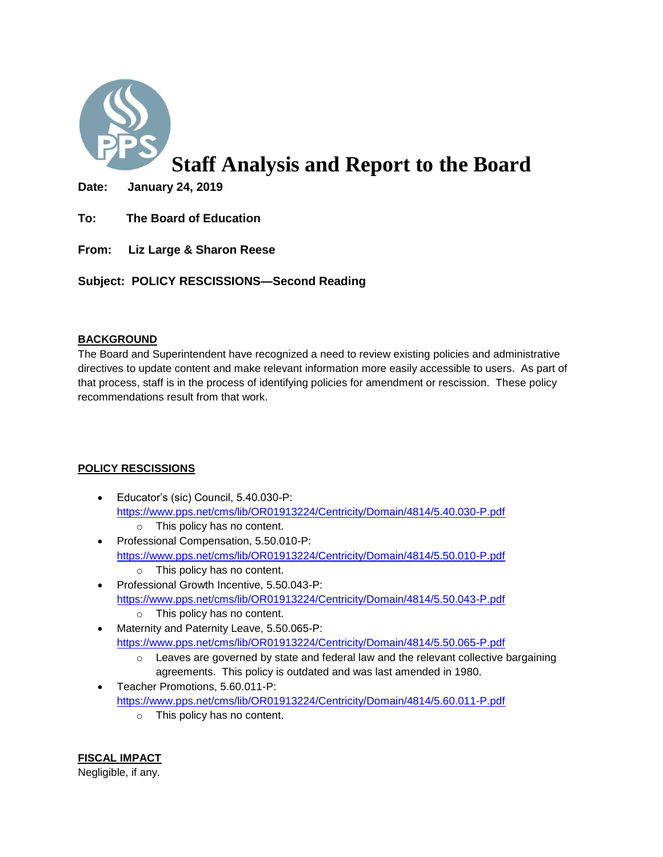

# **Staff Analysis and Report to the Board**

**Date: January 24, 2019** 

- **To: The Board of Education**
- **From: Liz Large & Sharon Reese**

**Subject: POLICY RESCISSIONS—Second Reading**

# **BACKGROUND**

The Board and Superintendent have recognized a need to review existing policies and administrative directives to update content and make relevant information more easily accessible to users. As part of that process, staff is in the process of identifying policies for amendment or rescission. These policy recommendations result from that work.

# **POLICY RESCISSIONS**

- Educator's (sic) Council, 5.40.030-P: <https://www.pps.net/cms/lib/OR01913224/Centricity/Domain/4814/5.40.030-P.pdf>
	- o This policy has no content.
- Professional Compensation, 5.50.010-P: <https://www.pps.net/cms/lib/OR01913224/Centricity/Domain/4814/5.50.010-P.pdf> o This policy has no content.
- Professional Growth Incentive, 5.50.043-P: <https://www.pps.net/cms/lib/OR01913224/Centricity/Domain/4814/5.50.043-P.pdf>
	- o This policy has no content.
- Maternity and Paternity Leave, 5.50.065-P: <https://www.pps.net/cms/lib/OR01913224/Centricity/Domain/4814/5.50.065-P.pdf>
	- $\circ$  Leaves are governed by state and federal law and the relevant collective bargaining agreements. This policy is outdated and was last amended in 1980.
- Teacher Promotions, 5.60.011-P: <https://www.pps.net/cms/lib/OR01913224/Centricity/Domain/4814/5.60.011-P.pdf>
	- o This policy has no content.

**FISCAL IMPACT** Negligible, if any.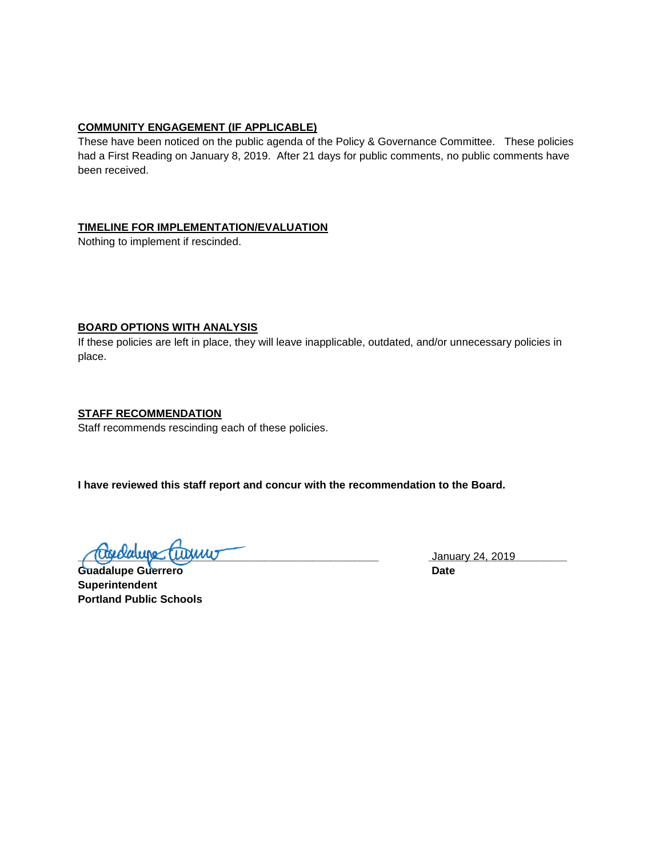## **COMMUNITY ENGAGEMENT (IF APPLICABLE)**

These have been noticed on the public agenda of the Policy & Governance Committee. These policies had a First Reading on January 8, 2019. After 21 days for public comments, no public comments have been received.

### **TIMELINE FOR IMPLEMENTATION/EVALUATION**

Nothing to implement if rescinded.

## **BOARD OPTIONS WITH ANALYSIS**

If these policies are left in place, they will leave inapplicable, outdated, and/or unnecessary policies in place.

## **STAFF RECOMMENDATION**

Staff recommends rescinding each of these policies.

**I have reviewed this staff report and concur with the recommendation to the Board.**

**<u>(Coverance Cubinary 24, 2019</u>** January 24, 2019

Guadalupe Guerrero **Date Superintendent Portland Public Schools**